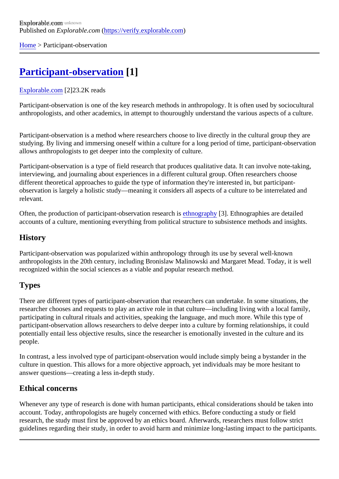[Home](https://verify.explorable.com/)> Participant-observation

# [Participant-observation](https://verify.explorable.com/participant-observation) [1]

#### [Explorable.com](https://verify.explorable.com/)[2]23.2K reads

Participant-observation is one of the key research methods in anthropology. It is often used by socioculture anthropologists, and other academics, in attempt to thouroughly understand the various aspects of a culture

Participant-observation is a method where researchers choose to live directly in the cultural group they are studying. By living and immersing oneself within a culture for a long period of time, participant-observation allows anthropologists to get deeper into the complexity of culture.

Participant-observation is a type of field research that produces qualitative data. It can involve note-taking, interviewing, and journaling about experiences in a different cultural group. Often researchers choose different theoretical approaches to guide the type of information they're interested in, but participantobservation is largely a holistic study—meaning it considers all aspects of a culture to be interrelated and relevant.

Often, the production of participant-observation researethis ography<sup>[3]</sup>. Ethnographies are detailed accounts of a culture, mentioning everything from political structure to subsistence methods and insights.

### **History**

Participant-observation was popularized within anthropology through its use by several well-known anthropologists in the 20th century, including Bronislaw Malinowski and Margaret Mead. Today, it is well recognized within the social sciences as a viable and popular research method.

# **Types**

There are different types of participant-observation that researchers can undertake. In some situations, the researcher chooses and requests to play an active role in that culture—including living with a local family, participating in cultural rituals and activities, speaking the language, and much more. While this type of participant-observation allows researchers to delve deeper into a culture by forming relationships, it could potentially entail less objective results, since the researcher is emotionally invested in the culture and its people.

In contrast, a less involved type of participant-observation would include simply being a bystander in the culture in question. This allows for a more objective approach, yet individuals may be more hesitant to answer questions—creating a less in-depth study.

## Ethical concerns

Whenever any type of research is done with human participants, ethical considerations should be taken in account. Today, anthropologists are hugely concerned with ethics. Before conducting a study or field research, the study must first be approved by an ethics board. Afterwards, researchers must follow strict guidelines regarding their study, in order to avoid harm and minimize long-lasting impact to the participant